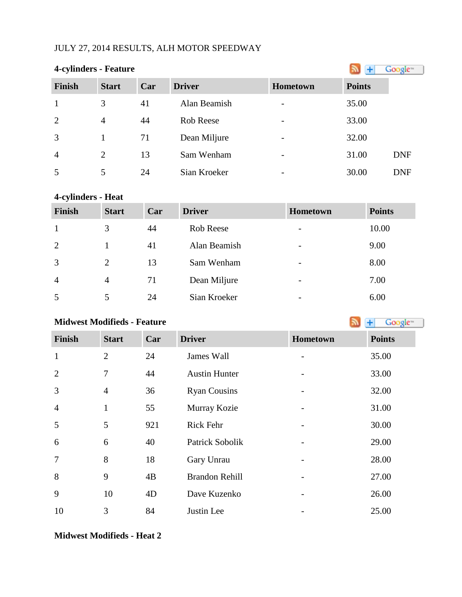## JULY 27, 2014 RESULTS, ALH MOTOR SPEEDWAY

|  | <b>4-cylinders - Feature</b> |
|--|------------------------------|
|  |                              |

| <b>4-cylinders - Feature</b> |                | Google™ |               |                              |               |            |
|------------------------------|----------------|---------|---------------|------------------------------|---------------|------------|
| <b>Finish</b>                | <b>Start</b>   | Car     | <b>Driver</b> | <b>Hometown</b>              | <b>Points</b> |            |
|                              | 3              | 41      | Alan Beamish  | $\overline{\phantom{0}}$     | 35.00         |            |
| 2                            | $\overline{4}$ | 44      | Rob Reese     | $\overline{\phantom{0}}$     | 33.00         |            |
| 3                            |                | 71      | Dean Miljure  | $\overline{\phantom{0}}$     | 32.00         |            |
| $\overline{4}$               | $\overline{2}$ | 13      | Sam Wenham    | $\qquad \qquad \blacksquare$ | 31.00         | <b>DNF</b> |
| 5                            | 5              | 24      | Sian Kroeker  | $\overline{\phantom{0}}$     | 30.00         | <b>DNF</b> |

# **4-cylinders - Heat**

| <b>Finish</b>  | <b>Start</b>   | Car | <b>Driver</b> | <b>Hometown</b>          | <b>Points</b> |
|----------------|----------------|-----|---------------|--------------------------|---------------|
|                | 3              | 44  | Rob Reese     | $\overline{\phantom{a}}$ | 10.00         |
| 2              |                | 41  | Alan Beamish  | $\overline{\phantom{a}}$ | 9.00          |
| 3              | 2              | 13  | Sam Wenham    | $\overline{\phantom{0}}$ | 8.00          |
| $\overline{4}$ | $\overline{4}$ | 71  | Dean Miljure  | $\overline{\phantom{a}}$ | 7.00          |
| 5              |                | 24  | Sian Kroeker  |                          | 6.00          |

# **Midwest Modifieds - Feature**

| Finish         | <b>Start</b>   | Car | <b>Driver</b>         | Hometown | <b>Points</b> |
|----------------|----------------|-----|-----------------------|----------|---------------|
| $\mathbf{1}$   | $\overline{2}$ | 24  | James Wall            | -        | 35.00         |
| $\overline{2}$ | 7              | 44  | <b>Austin Hunter</b>  |          | 33.00         |
| 3              | $\overline{4}$ | 36  | <b>Ryan Cousins</b>   |          | 32.00         |
| $\overline{4}$ | $\mathbf{1}$   | 55  | Murray Kozie          |          | 31.00         |
| 5              | 5              | 921 | <b>Rick Fehr</b>      |          | 30.00         |
| 6              | 6              | 40  | Patrick Sobolik       |          | 29.00         |
| $\tau$         | 8              | 18  | Gary Unrau            |          | 28.00         |
| 8              | 9              | 4B  | <b>Brandon Rehill</b> |          | 27.00         |
| 9              | 10             | 4D  | Dave Kuzenko          |          | 26.00         |
| 10             | 3              | 84  | Justin Lee            |          | 25.00         |

**Midwest Modifieds - Heat 2**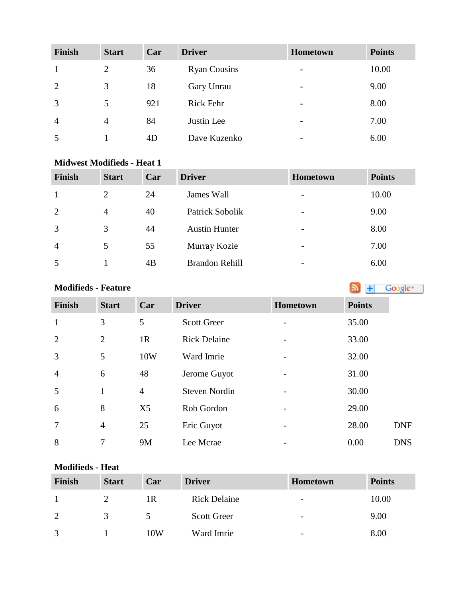| <b>Finish</b>  | <b>Start</b>   | Car | <b>Driver</b>       | <b>Hometown</b>              | <b>Points</b> |
|----------------|----------------|-----|---------------------|------------------------------|---------------|
| 1              | 2              | 36  | <b>Ryan Cousins</b> | $\qquad \qquad \blacksquare$ | 10.00         |
| 2              | 3              | 18  | Gary Unrau          | $\overline{\phantom{a}}$     | 9.00          |
| 3              | 5              | 921 | Rick Fehr           | $\overline{\phantom{a}}$     | 8.00          |
| $\overline{4}$ | $\overline{4}$ | 84  | Justin Lee          | $\overline{\phantom{a}}$     | 7.00          |
| 5              |                | 4D  | Dave Kuzenko        | $\overline{\phantom{a}}$     | 6.00          |

## **Midwest Modifieds - Heat 1**

| <b>Finish</b>  | <b>Start</b>   | Car | <b>Driver</b>        | <b>Hometown</b>          | <b>Points</b> |
|----------------|----------------|-----|----------------------|--------------------------|---------------|
|                | 2              | 24  | James Wall           | $\overline{\phantom{0}}$ | 10.00         |
| 2              | $\overline{4}$ | 40  | Patrick Sobolik      | $\overline{\phantom{a}}$ | 9.00          |
| 3              | 3              | 44  | <b>Austin Hunter</b> | $\overline{\phantom{a}}$ | 8.00          |
| $\overline{4}$ | 5              | 55  | Murray Kozie         |                          | 7.00          |
| 5              |                | 4B  | Brandon Rehill       |                          | 6.00          |

# **Modifieds- Feature Modifieds - Feature**

| <b>Finish</b>  | <b>Start</b>   | Car            | <b>Driver</b>        | Hometown                 | <b>Points</b> |
|----------------|----------------|----------------|----------------------|--------------------------|---------------|
| $\mathbf{1}$   | 3              | 5              | <b>Scott Greer</b>   |                          | 35.00         |
| $\overline{2}$ | $\overline{2}$ | 1R             | <b>Rick Delaine</b>  | $\overline{\phantom{0}}$ | 33.00         |
| 3              | 5              | 10W            | Ward Imrie           |                          | 32.00         |
| $\overline{4}$ | 6              | 48             | Jerome Guyot         |                          | 31.00         |
| 5              | $\mathbf{1}$   | $\overline{4}$ | <b>Steven Nordin</b> |                          | 30.00         |
| 6              | 8              | X <sub>5</sub> | Rob Gordon           |                          | 29.00         |
| $\overline{7}$ | $\overline{4}$ | 25             | Eric Guyot           |                          | 28.00         |
| 8              | 7              | <b>9M</b>      | Lee Mcrae            |                          | 0.00          |

## **Modifieds - Heat**

| Finish       | <b>Start</b> | Car | <b>Driver</b>       | <b>Hometown</b>          | <b>Points</b> |
|--------------|--------------|-----|---------------------|--------------------------|---------------|
|              |              | 1R  | <b>Rick Delaine</b> | $\overline{\phantom{a}}$ | 10.00         |
| 2            | 3            |     | <b>Scott Greer</b>  | $\overline{\phantom{0}}$ | 9.00          |
| $\mathbf{z}$ |              | 10W | Ward Imrie          | $\overline{\phantom{0}}$ | 8.00          |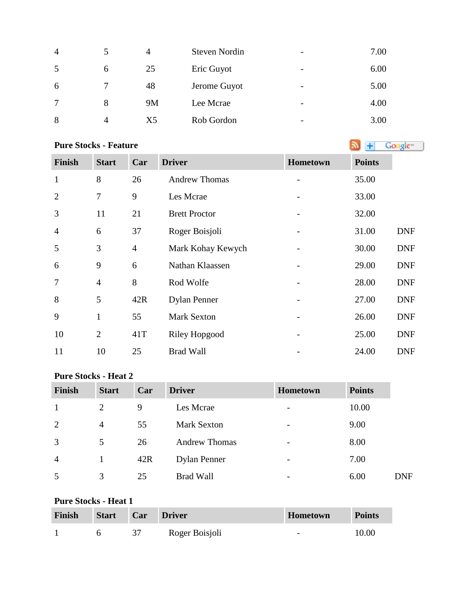| $\overline{4}$ |   | 4              | <b>Steven Nordin</b> | $\overline{\phantom{a}}$ | 7.00 |
|----------------|---|----------------|----------------------|--------------------------|------|
| 5              | 6 | 25             | Eric Guyot           | $\overline{\phantom{a}}$ | 6.00 |
| 6              |   | 48             | Jerome Guyot         | $\overline{\phantom{m}}$ | 5.00 |
| $\tau$         | 8 | <b>9M</b>      | Lee Mcrae            | $\overline{\phantom{a}}$ | 4.00 |
| 8              | 4 | X <sub>5</sub> | Rob Gordon           | $\overline{\phantom{a}}$ | 3.00 |

# **PureStocks - Feature Algebra Constant Constant Constant Constant Constant Constant Constant Constant Constant Constant Constant Constant Constant Constant Constant Constant Constant Constant Constant Constant Constan**

| <b>Finish</b>  | <b>Start</b>   | Car            | <b>Driver</b>        | Hometown | <b>Points</b> |            |
|----------------|----------------|----------------|----------------------|----------|---------------|------------|
| $\mathbf{1}$   | 8              | 26             | <b>Andrew Thomas</b> |          | 35.00         |            |
| $\overline{2}$ | 7              | 9              | Les Mcrae            |          | 33.00         |            |
| 3              | 11             | 21             | <b>Brett Proctor</b> |          | 32.00         |            |
| $\overline{4}$ | 6              | 37             | Roger Boisjoli       |          | 31.00         | <b>DNF</b> |
| 5              | 3              | $\overline{4}$ | Mark Kohay Kewych    |          | 30.00         | <b>DNF</b> |
| 6              | 9              | 6              | Nathan Klaassen      |          | 29.00         | <b>DNF</b> |
| $\overline{7}$ | $\overline{4}$ | 8              | Rod Wolfe            |          | 28.00         | <b>DNF</b> |
| 8              | 5              | 42R            | <b>Dylan Penner</b>  |          | 27.00         | <b>DNF</b> |
| 9              | $\mathbf{1}$   | 55             | <b>Mark Sexton</b>   |          | 26.00         | <b>DNF</b> |
| 10             | $\overline{2}$ | 41T            | <b>Riley Hopgood</b> |          | 25.00         | <b>DNF</b> |
| 11             | 10             | 25             | <b>Brad Wall</b>     |          | 24.00         | <b>DNF</b> |

## **Pure Stocks - Heat 2**

| <b>Finish</b>  | <b>Start</b> | Car | <b>Driver</b>        | <b>Hometown</b>          | <b>Points</b> |            |
|----------------|--------------|-----|----------------------|--------------------------|---------------|------------|
|                | 2            | 9   | Les Mcrae            | $\overline{\phantom{a}}$ | 10.00         |            |
| $\overline{2}$ | 4            | 55  | <b>Mark Sexton</b>   | $\overline{\phantom{a}}$ | 9.00          |            |
| 3              | 5            | 26  | <b>Andrew Thomas</b> | -                        | 8.00          |            |
| $\overline{4}$ |              | 42R | <b>Dylan Penner</b>  | $\qquad \qquad$          | 7.00          |            |
| 5              | 3            | 25  | <b>Brad Wall</b>     | $\overline{\phantom{0}}$ | 6.00          | <b>DNF</b> |

## **Pure Stocks - Heat 1**

| Finish | Start | Car | <b>Driver</b>  | Hometown                 | <b>Points</b> |
|--------|-------|-----|----------------|--------------------------|---------------|
|        |       |     | Roger Boisjoli | $\overline{\phantom{a}}$ | 10.00         |